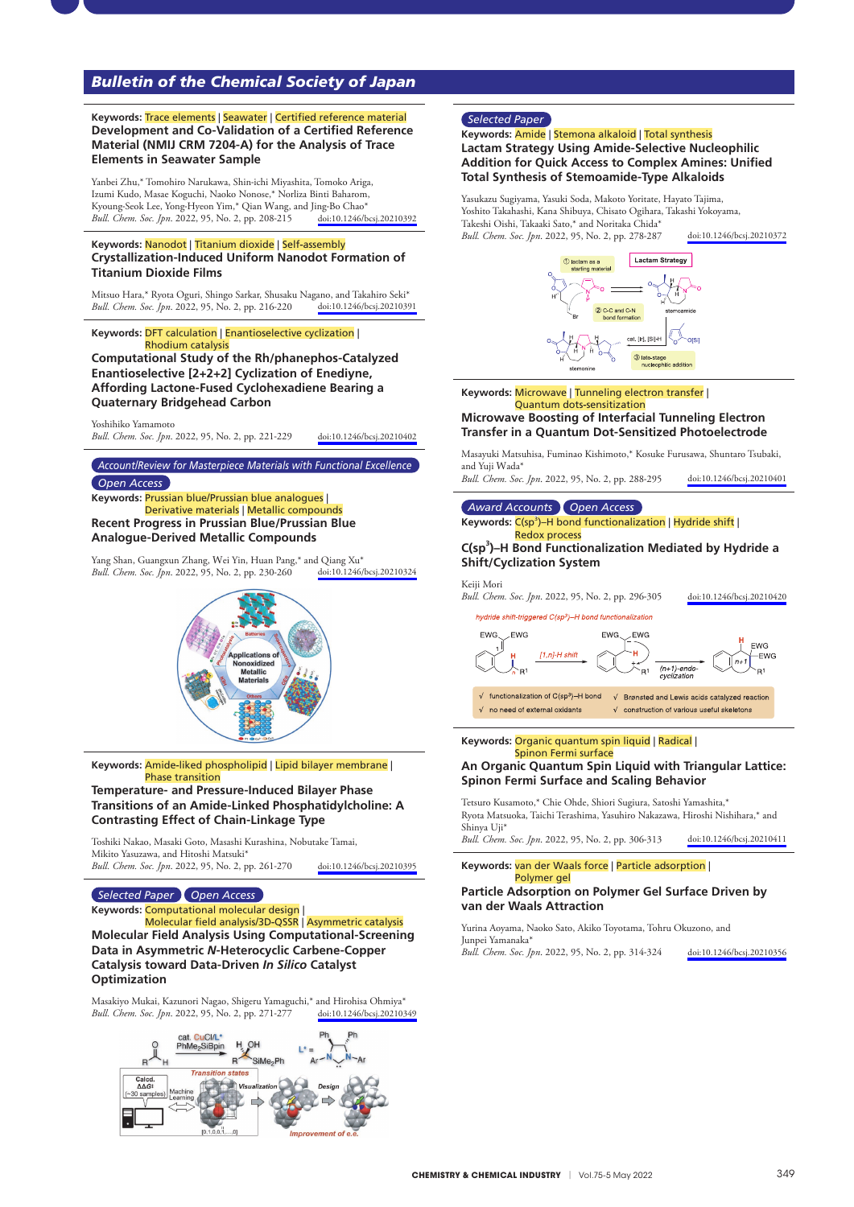# *Bulletin of the Chemical Society of Japan*

**Keywords:** Trace elements | Seawater | Certified reference material **Development and Co**-**Validation of a Certified Reference Material (NMIJ CRM 7204**-**A) for the Analysis of Trace Elements in Seawater Sample**

Yanbei Zhu,\* Tomohiro Narukawa, Shin-ichi Miyashita, Tomoko Ariga, Izumi Kudo, Masae Koguchi, Naoko Nonose,\* Norliza Binti Baharom, Extern Francy, Francy Lee, Yong-Hyeon Yim,\* Qian Wang, and Jing-Bo Chao\*<br>Kyoung-Seok Lee, Yong-Hyeon Yim,\* Qian Wang, and Jing-Bo Chao\*<br>Bull, Chem. Soc. Inn. 2022. 95. No. 2. pp. 208-215 doi:10.1246/bcsi.20210392 *Bull. Chem. Soc. Jpn.* 2022, 95, No. 2, pp. 208-215

#### **Keywords:** Nanodot | Titanium dioxide | Self**-**assembly **Crystallization**-**Induced Uniform Nanodot Formation of Titanium Dioxide Films**

Mitsuo Hara,\* Ryota Oguri, Shingo Sarkar, Shusaku Nagano, and Takahiro Seki\*<br>Bull. Chem. Soc. Jpn. 2022, 95, No. 2, pp. 216-220 doi:10.1246/bcsj.20210391 *Bull. Chem. Soc. Jpn.* 2022, 95, No. 2, pp. 216-220

**Keywords:** DFT calculation | Enantioselective cyclization |

Rhodium catalysis **Computational Study of the Rh/phanephos**-**Catalyzed Enantioselective [2+2+2] Cyclization of Enediyne, Affording Lactone**-**Fused Cyclohexadiene Bearing a Quaternary Bridgehead Carbon**

Yoshihiko Yamamoto

*Bull. Chem. Soc. Jpn*. 2022, 95, No. 2, pp. 221-229 [doi:10.1246/bcsj.20210402](https://doi.org/10.1246/bcsj.20210402)

#### *Account/Review for Masterpiece Materials with Functional Excellence*

### *Open Access*

**Keywords:** Prussian blue/Prussian blue analogues | Derivative materials | Metallic compounds **Recent Progress in Prussian Blue/Prussian Blue** 

**Analogue**-**Derived Metallic Compounds**

Yang Shan, Guangxun Zhang, Wei Yin, Huan Pang,<sup>\*</sup> and Qiang Xu<sup>\*</sup><br>Bull. Chem. Soc. [pn. 2022, 95, No. 2, pp. 230-260 doi:10.1246/bcsj.20210324 *Bull. Chem. Soc. Jpn.* 2022, 95, No. 2, pp. 230-260



**Keywords:** Amide**-**liked phospholipid | Lipid bilayer membrane | Phase transition

### **Temperature**- **and Pressure**-**Induced Bilayer Phase Transitions of an Amide**-**Linked Phosphatidylcholine: A Contrasting Effect of Chain**-**Linkage Type**

Toshiki Nakao, Masaki Goto, Masashi Kurashina, Nobutake Tamai, Mikito Yasuzawa, and Hitoshi Matsuki\* *Bull. Chem. Soc. Jpn*. 2022, 95, No. 2, pp. 261-270 [doi:10.1246/bcsj.20210395](https://doi.org/10.1246/bcsj.20210395)

### *Selected Paper Open Access*

# **Keywords:** Computational molecular design |

Molecular field analysis/3D**-**QSSR | Asymmetric catalysis **Molecular Field Analysis Using Computational**-**Screening Data in Asymmetric** *N*-**Heterocyclic Carbene**-**Copper Catalysis toward Data**-**Driven** *In Silico* **Catalyst Optimization**

Masakiyo Mukai, Kazunori Nagao, Shigeru Yamaguchi,\* and Hirohisa Ohmiya\* Bull. Chem. Soc. [pn. 2022, 95, No. 2, pp. 271-277 doi:10.1246/bcsj.20210349 *Bull. Chem. Soc. Jpn.* 2022, 95, No. 2, pp. 271-277



# *Selected Paper*

### **Keywords:** Amide | Stemona alkaloid | Total synthesis **Lactam Strategy Using Amide**-**Selective Nucleophilic Addition for Quick Access to Complex Amines: Unified Total Synthesis of Stemoamide**-**Type Alkaloids**

Yasukazu Sugiyama, Yasuki Soda, Makoto Yoritate, Hayato Tajima, Yoshito Takahashi, Kana Shibuya, Chisato Ogihara, Takashi Yokoyama, Takeshi Oishi, Takaaki Sato,\* and Noritaka Chida\* *Bull. Chem. Soc. Jpn*. 2022, 95, No. 2, pp. 278-287 [doi:10.1246/bcsj.20210372](https://doi.org/10.1246/bcsj.20210372)



**Keywords:** Microwave | Tunneling electron transfer | Quantum dots**-**sensitization

# **Microwave Boosting of Interfacial Tunneling Electron Transfer in a Quantum Dot**-**Sensitized Photoelectrode**

Masayuki Matsuhisa, Fuminao Kishimoto,\* Kosuke Furusawa, Shuntaro Tsubaki, and Yuji Wada<sup>\*</sup>

*Bull. Chem. Soc. Jpn*. 2022, 95, No. 2, pp. 288-295 [doi:10.1246/bcsj.20210401](https://doi.org/10.1246/bcsj.20210401)

# *Award Accounts Open Access*

Keywords: C(sp<sup>3</sup>)-H bond functionalization | Hydride shift | Redox process

### **C(sp3 )–H Bond Functionalization Mediated by Hydride a Shift/Cyclization System**

Keiji Mori

*Bull. Chem. Soc. Jpn*. 2022, 95, No. 2, pp. 296-305 [doi:10.1246/bcsj.20210420](https://doi.org/10.1246/bcsj.20210420)

hydride shift-triggered C(sp<sup>3</sup>)-H bond functionalization



#### **Keywords:** Organic quantum spin liquid | Radical | Spinon Fermi surface

# **An Organic Quantum Spin Liquid with Triangular Lattice: Spinon Fermi Surface and Scaling Behavior**

Tetsuro Kusamoto,\* Chie Ohde, Shiori Sugiura, Satoshi Yamashita,\* Ryota Matsuoka, Taichi Terashima, Yasuhiro Nakazawa, Hiroshi Nishihara,\* and Shinya Uji\*

*Bull. Chem. Soc. Jpn*. 2022, 95, No. 2, pp. 306-313 [doi:10.1246/bcsj.20210411](https://doi.org/10.1246/bcsj.20210411)

**Keywords:** van der Waals force | Particle adsorption | Polymer gel

# **Particle Adsorption on Polymer Gel Surface Driven by van der Waals Attraction**

Yurina Aoyama, Naoko Sato, Akiko Toyotama, Tohru Okuzono, and Junpei Yamanaka\*

*Bull. Chem. Soc. Jpn*. 2022, 95, No. 2, pp. 314-324 [doi:10.1246/bcsj.20210356](https://doi.org/10.1246/bcsj.20210356)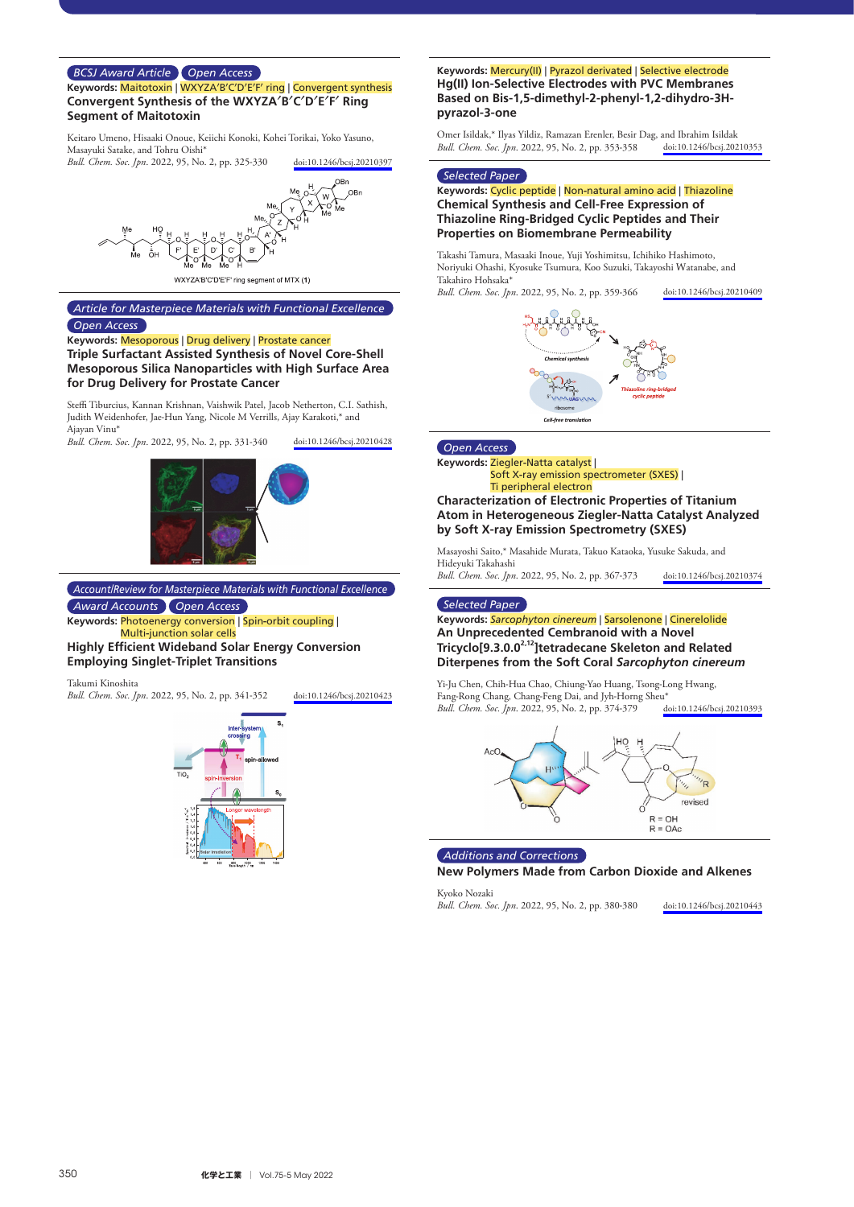# *BCSJ Award Article Open Access*

**Keywords:** Maitotoxin | WXYZA**′**B**′**C**′**D**′**E**′**F**′** ring | Convergent synthesis **Convergent Synthesis of the WXYZA**′**B**′**C**′**D**′**E**′**F**′ **Ring Segment of Maitotoxin**

Keitaro Umeno, Hisaaki Onoue, Keiichi Konoki, Kohei Torikai, Yoko Yasuno, Masayuki Satake, and Tohru Oishi\*

*Bull. Chem. Soc. Jpn*. 2022, 95, No. 2, pp. 325-330 [doi:10.1246/bcsj.20210397](https://doi.org/10.1246/bcsj.20210397)



WXYZA'B'C'D'E'F' ring segment of MTX (1)

# *Article for Masterpiece Materials with Functional Excellence Open Access*

### **Keywords:** Mesoporous | Drug delivery | Prostate cancer

**Triple Surfactant Assisted Synthesis of Novel Core**-**Shell Mesoporous Silica Nanoparticles with High Surface Area for Drug Delivery for Prostate Cancer**

Steffi Tiburcius, Kannan Krishnan, Vaishwik Patel, Jacob Netherton, C.I. Sathish, Judith Weidenhofer, Jae-Hun Yang, Nicole M Verrills, Ajay Karakoti,\* and Ajayan Vinu\*

*Bull. Chem. Soc. Jpn*. 2022, 95, No. 2, pp. 331-340 [doi:10.1246/bcsj.20210428](https://doi.org/10.1246/bcsj.20210428)



*Account/Review for Masterpiece Materials with Functional Excellence Award Accounts Open Access*

**Keywords:** Photoenergy conversion | Spin**-**orbit coupling | Multi**-**junction solar cells

**Highly Efficient Wideband Solar Energy Conversion Employing Singlet**-**Triplet Transitions**

Takumi Kinoshita

*Bull. Chem. Soc. Jpn*. 2022, 95, No. 2, pp. 341-352 [doi:10.1246/bcsj.20210423](https://doi.org/10.1246/bcsj.20210423)



### **Keywords:** Mercury(II) | Pyrazol derivated | Selective electrode **Hg(II) Ion**-**Selective Electrodes with PVC Membranes Based on Bis**-**1,5**-**dimethyl**-**2**-**phenyl**-**1,2**-**dihydro**-**3Hpyrazol**-**3**-**one**

Omer Isildak,\* Ilyas Yildiz, Ramazan Erenler, Besir Dag, and Ibrahim Isildak<br>Bull. Chem. Soc. Jpn. 2022, 95, No. 2, pp. 353-358 doi:10.1246/bcsj.20210353 *Bull. Chem. Soc. Jpn.* 2022, 95, No. 2, pp. 353-358

#### *Selected Paper*

### **Keywords:** Cyclic peptide | Non**-**natural amino acid | Thiazoline **Chemical Synthesis and Cell**-**Free Expression of Thiazoline Ring**-**Bridged Cyclic Peptides and Their Properties on Biomembrane Permeability**

Takashi Tamura, Masaaki Inoue, Yuji Yoshimitsu, Ichihiko Hashimoto, Noriyuki Ohashi, Kyosuke Tsumura, Koo Suzuki, Takayoshi Watanabe, and Takahiro Hohsaka\* *Bull. Chem. Soc. Jpn*. 2022, 95, No. 2, pp. 359-366 [doi:10.1246/bcsj.20210409](https://doi.org/10.1246/bcsj.20210409)



# *Open Access*

**Keywords:** Ziegler**-**Natta catalyst | Soft X**-**ray emission spectrometer (SXES) | Ti peripheral electron

# **Characterization of Electronic Properties of Titanium Atom in Heterogeneous Ziegler**-**Natta Catalyst Analyzed by Soft X**-**ray Emission Spectrometry (SXES)**

Masayoshi Saito,\* Masahide Murata, Takuo Kataoka, Yusuke Sakuda, and Hideyuki Takahashi

*Bull. Chem. Soc. Jpn*. 2022, 95, No. 2, pp. 367-373 [doi:10.1246/bcsj.20210374](https://doi.org/10.1246/bcsj.20210374)

#### *Selected Paper*

### **Keywords:** *Sarcophyton cinereum* | Sarsolenone | Cinerelolide **An Unprecedented Cembranoid with a Novel**  Tricyclo<sup>[9.3.0.0<sup>2,12</sup>]tetradecane Skeleton and Related</sup> **Diterpenes from the Soft Coral** *Sarcophyton cinereum*

Yi-Ju Chen, Chih-Hua Chao, Chiung-Yao Huang, Tsong-Long Hwang, Fang-Rong Chang, Chang-Feng Dai, and Jyh-Horng Sheu\*<br>Bull. Chem. Soc. [pn. 2022, 95, No. 2, pp. 374-379 doi:10.1246/bcsj.20210393 *Bull. Chem. Soc. Jpn.* 2022, 95, No. 2, pp. 374-379



*Additions and Corrections*

**New Polymers Made from Carbon Dioxide and Alkenes**

Kyoko Nozaki *Bull. Chem. Soc. Jpn*. 2022, 95, No. 2, pp. 380-380 [doi:10.1246/bcsj.20210443](https://doi.org/10.1246/bcsj.20210443)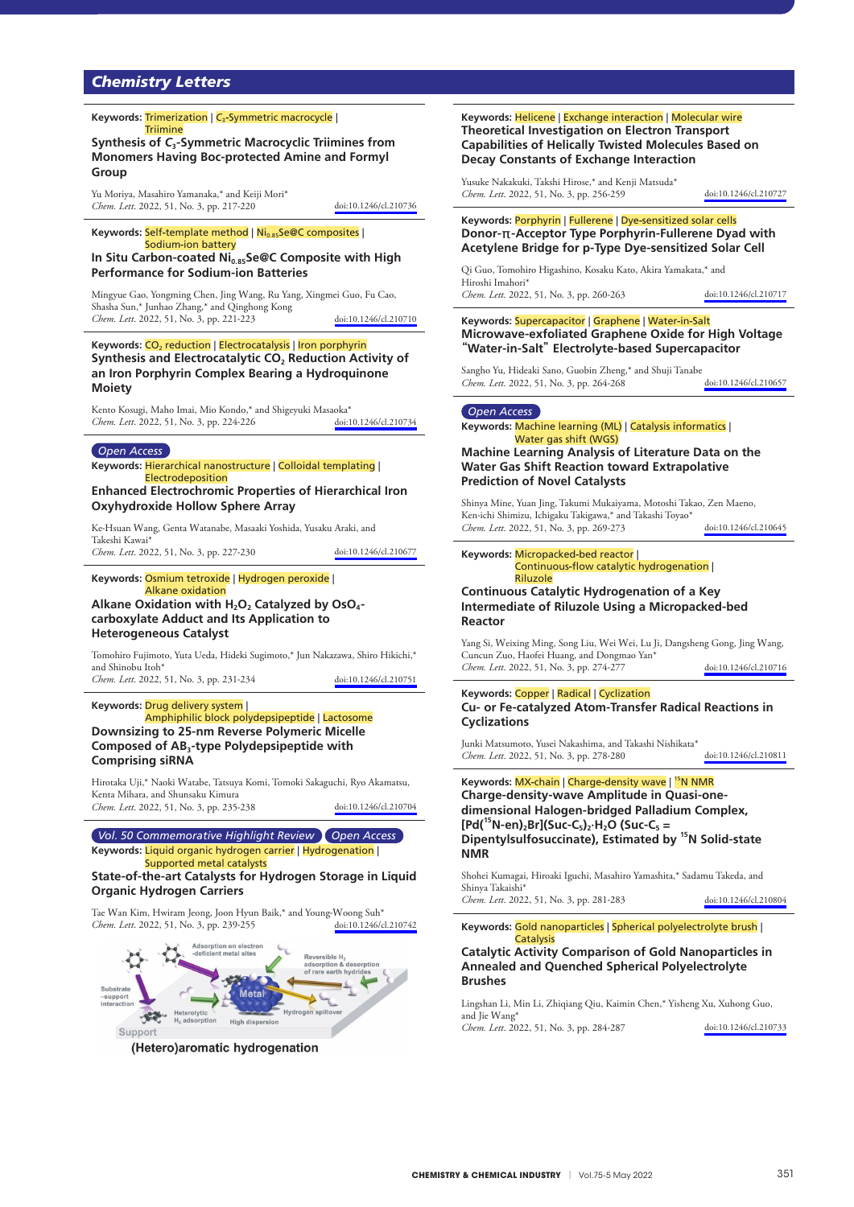# *Chemistry Letters*

#### **Keywords:** Trimerization | *C*3**-**Symmetric macrocycle | **Triimine**

**Synthesis of** *C***3**-**Symmetric Macrocyclic Triimines from Monomers Having Boc**-**protected Amine and Formyl Group**

Yu Moriya, Masahiro Yamanaka,\* and Keiji Mori\* *Chem. Lett.* 2022, 51, No. 3, pp. 217-220 [doi:10.1246/cl.210736](https://doi.org/10.1246/cl.210736)

#### Keywords: Self-template method | Ni<sub>0.85</sub>Se@C composites |

Sodium**-**ion battery In Situ Carbon-coated Ni<sub>0.85</sub>Se@C Composite with High **Performance for Sodium**-**ion Batteries**

Mingyue Gao, Yongming Chen, Jing Wang, Ru Yang, Xingmei Guo, Fu Cao, Shasha Sun,\* Junhao Zhang,\* and Qinghong Kong *Chem. Lett*. 2022, 51, No. 3, pp. 221-223 [doi:10.1246/cl.210710](https://doi.org/10.1246/cl.210710)

Keywords: CO<sub>2</sub> reduction | Electrocatalysis | Iron porphyrin Synthesis and Electrocatalytic CO<sub>2</sub> Reduction Activity of **an Iron Porphyrin Complex Bearing a Hydroquinone Moiety**

Kento Kosugi, Maho Imai, Mio Kondo,\* and Shigeyuki Masaoka\*<br>Chem Lett 2022, 51, No. 3, nn. 224-226 doi:10.1246/cl 210734 *Chem. Lett.* 2022, 51, No. 3, pp. 224-226

#### *Open Access*

**Keywords:** Hierarchical nanostructure | Colloidal templating | Electrodeposition

## **Enhanced Electrochromic Properties of Hierarchical Iron Oxyhydroxide Hollow Sphere Array**

Ke-Hsuan Wang, Genta Watanabe, Masaaki Yoshida, Yusaku Araki, and Takeshi Kawai\* *Chem. Lett*. 2022, 51, No. 3, pp. 227-230 [doi:10.1246/cl.210677](https://doi.org/10.1246/cl.210677)

**Keywords:** Osmium tetroxide | Hydrogen peroxide | Alkane oxidation

Alkane Oxidation with H<sub>2</sub>O<sub>2</sub> Catalyzed by OsO<sub>4</sub>**carboxylate Adduct and Its Application to Heterogeneous Catalyst**

Tomohiro Fujimoto, Yuta Ueda, Hideki Sugimoto,\* Jun Nakazawa, Shiro Hikichi,\* and Shinobu Itoh\* *Chem. Lett*. 2022, 51, No. 3, pp. 231-234 [doi:10.1246/cl.210751](https://doi.org/10.1246/cl.210751)

#### **Keywords:** Drug delivery system |

Amphiphilic block polydepsipeptide | Lactosome **Downsizing to 25**-**nm Reverse Polymeric Micelle Composed of AB3**-**type Polydepsipeptide with Comprising siRNA**

Hirotaka Uji,\* Naoki Watabe, Tatsuya Komi, Tomoki Sakaguchi, Ryo Akamatsu, Kenta Mihara, and Shunsaku Kimura *Chem. Lett*. 2022, 51, No. 3, pp. 235-238 [doi:10.1246/cl.210704](https://doi.org/10.1246/cl.210704)

*Vol. 50 Commemorative Highlight Review Open Access* **Keywords:** Liquid organic hydrogen carrier | Hydrogenation | Supported metal catalysts

### **State**-**of**-**the**-**art Catalysts for Hydrogen Storage in Liquid Organic Hydrogen Carriers**

Tae Wan Kim, Hwiram Jeong, Joon Hyun Baik,\* and Young-Woong Suh\* *Chem. Lett.* 2022, 51, No. 3, pp. 239-255



**Keywords:** Helicene | Exchange interaction | Molecular wire **Theoretical Investigation on Electron Transport Capabilities of Helically Twisted Molecules Based on Decay Constants of Exchange Interaction**

Yusuke Nakakuki, Takshi Hirose,\* and Kenji Matsuda\* *Chem. Lett.* 2022, 51, No. 3, pp. 256-259 [doi:10.1246/cl.210727](https://doi.org/10.1246/cl.210727)

#### **Keywords:** Porphyrin | Fullerene | Dye**-**sensitized solar cells **Donor**-π-**Acceptor Type Porphyrin**-**Fullerene Dyad with Acetylene Bridge for p**-**Type Dye**-**sensitized Solar Cell**

Qi Guo, Tomohiro Higashino, Kosaku Kato, Akira Yamakata,\* and Hiroshi Imahori\* *Chem. Lett*. 2022, 51, No. 3, pp. 260-263 [doi:10.1246/cl.210717](https://doi.org/10.1246/cl.210717)

### **Keywords:** Supercapacitor | Graphene | Water**-**in**-**Salt **Microwave**-**exfoliated Graphene Oxide for High Voltage**  "**Water**-**in**-**Salt**" **Electrolyte**-**based Supercapacitor**

Sangho Yu, Hideaki Sano, Guobin Zheng,\* and Shuji Tanabe *Chem. Lett.* 2022, 51, No. 3, pp. 264-268 [doi:10.1246/cl.210657](https://doi.org/10.1246/cl.210657)

#### *Open Access*

**Keywords:** Machine learning (ML) | Catalysis informatics | Water gas shift (WGS)

### **Machine Learning Analysis of Literature Data on the Water Gas Shift Reaction toward Extrapolative Prediction of Novel Catalysts**

Shinya Mine, Yuan Jing, Takumi Mukaiyama, Motoshi Takao, Zen Maeno, Ken-ichi Shimizu, Ichigaku Takigawa,\* and Takashi Toyao\* *Chem. Lett*. 2022, 51, No. 3, pp. 269-273 [doi:10.1246/cl.210645](https://doi.org/10.1246/cl.210645)

#### **Keywords:** Micropacked**-**bed reactor | Continuous**-**flow catalytic hydrogenation | Riluzole

## **Continuous Catalytic Hydrogenation of a Key Intermediate of Riluzole Using a Micropacked**-**bed Reactor**

Yang Si, Weixing Ming, Song Liu, Wei Wei, Lu Ji, Dangsheng Gong, Jing Wang, Cuncun Zuo, Haofei Huang, and Dongmao Yan\* *Chem. Lett*. 2022, 51, No. 3, pp. 274-277 [doi:10.1246/cl.210716](https://doi.org/10.1246/cl.210716)

#### **Keywords:** Copper | Radical | Cyclization **Cu**- **or Fe**-**catalyzed Atom**-**Transfer Radical Reactions in Cyclizations**

Junki Matsumoto, Yusei Nakashima, and Takashi Nishikata\* *Chem. Lett*. 2022, 51, No. 3, pp. 278-280 [doi:10.1246/cl.210811](https://doi.org/10.1246/cl.210811)

**Keywords:** MX**-**chain | Charge**-**density wave | 15N NMR **Charge**-**density**-**wave Amplitude in Quasi**-**onedimensional Halogen**-**bridged Palladium Complex, [Pd(15N**-**en)2Br](Suc**-**C5)2·H2O (Suc**-**C5 = Dipentylsulfosuccinate), Estimated by 15N Solid**-**state NMR**

Shohei Kumagai, Hiroaki Iguchi, Masahiro Yamashita,\* Sadamu Takeda, and Shinya Takaishi\* *Chem. Lett*. 2022, 51, No. 3, pp. 281-283 [doi:10.1246/cl.210804](https://doi.org/10.1246/cl.210804)

**Keywords:** Gold nanoparticles | Spherical polyelectrolyte brush | **Catalysis** 

### **Catalytic Activity Comparison of Gold Nanoparticles in Annealed and Quenched Spherical Polyelectrolyte Brushes**

Lingshan Li, Min Li, Zhiqiang Qiu, Kaimin Chen,\* Yisheng Xu, Xuhong Guo, and Jie Wang\* *Chem. Lett*. 2022, 51, No. 3, pp. 284-287 [doi:10.1246/cl.210733](https://doi.org/10.1246/cl.210733)